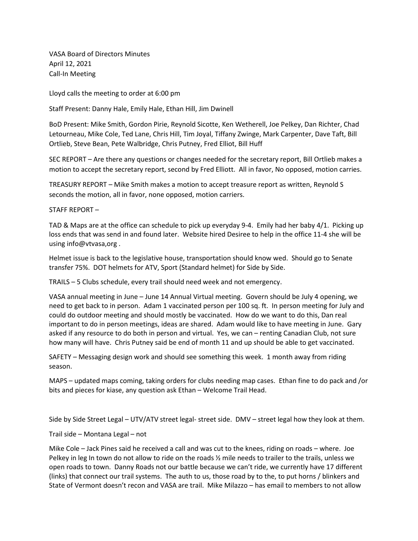VASA Board of Directors Minutes April 12, 2021 Call-In Meeting

Lloyd calls the meeting to order at 6:00 pm

Staff Present: Danny Hale, Emily Hale, Ethan Hill, Jim Dwinell

BoD Present: Mike Smith, Gordon Pirie, Reynold Sicotte, Ken Wetherell, Joe Pelkey, Dan Richter, Chad Letourneau, Mike Cole, Ted Lane, Chris Hill, Tim Joyal, Tiffany Zwinge, Mark Carpenter, Dave Taft, Bill Ortlieb, Steve Bean, Pete Walbridge, Chris Putney, Fred Elliot, Bill Huff

SEC REPORT – Are there any questions or changes needed for the secretary report, Bill Ortlieb makes a motion to accept the secretary report, second by Fred Elliott. All in favor, No opposed, motion carries.

TREASURY REPORT – Mike Smith makes a motion to accept treasure report as written, Reynold S seconds the motion, all in favor, none opposed, motion carriers.

STAFF REPORT –

TAD & Maps are at the office can schedule to pick up everyday 9-4. Emily had her baby 4/1. Picking up loss ends that was send in and found later. Website hired Desiree to help in the office 11-4 she will be using info@vtvasa,org .

Helmet issue is back to the legislative house, transportation should know wed. Should go to Senate transfer 75%. DOT helmets for ATV, Sport (Standard helmet) for Side by Side.

TRAILS – 5 Clubs schedule, every trail should need week and not emergency.

VASA annual meeting in June – June 14 Annual Virtual meeting. Govern should be July 4 opening, we need to get back to in person. Adam 1 vaccinated person per 100 sq. ft. In person meeting for July and could do outdoor meeting and should mostly be vaccinated. How do we want to do this, Dan real important to do in person meetings, ideas are shared. Adam would like to have meeting in June. Gary asked if any resource to do both in person and virtual. Yes, we can – renting Canadian Club, not sure how many will have. Chris Putney said be end of month 11 and up should be able to get vaccinated.

SAFETY – Messaging design work and should see something this week. 1 month away from riding season.

MAPS – updated maps coming, taking orders for clubs needing map cases. Ethan fine to do pack and /or bits and pieces for kiase, any question ask Ethan – Welcome Trail Head.

Side by Side Street Legal – UTV/ATV street legal- street side. DMV – street legal how they look at them.

Trail side – Montana Legal – not

Mike Cole – Jack Pines said he received a call and was cut to the knees, riding on roads – where. Joe Pelkey in leg In town do not allow to ride on the roads ½ mile needs to trailer to the trails, unless we open roads to town. Danny Roads not our battle because we can't ride, we currently have 17 different (links) that connect our trail systems. The auth to us, those road by to the, to put horns / blinkers and State of Vermont doesn't recon and VASA are trail. Mike Milazzo – has email to members to not allow